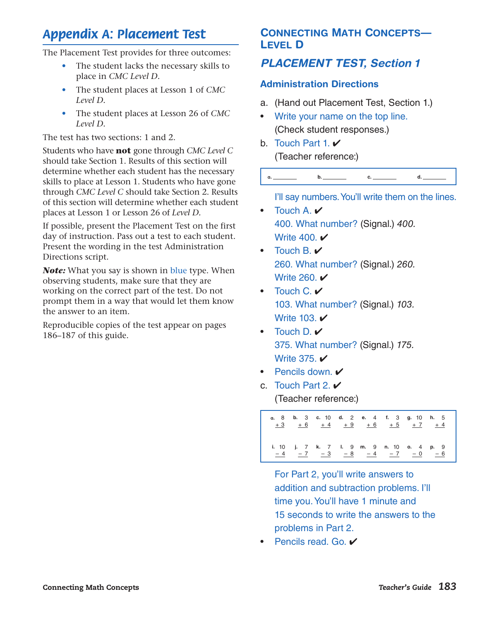# *Appendix A: Placement Test*

The Placement Test provides for three outcomes:

- The student lacks the necessary skills to place in *CMC Level D.*
- The student places at Lesson 1 of *CMC Level D.*
- The student places at Lesson 26 of *CMC Level D.*

The test has two sections: 1 and 2.

Students who have **not** gone through *CMC Level C*  should take Section 1. Results of this section will determine whether each student has the necessary skills to place at Lesson 1. Students who have gone through *CMC Level C* should take Section 2. Results of this section will determine whether each student places at Lesson 1 or Lesson 26 of *Level D.*

If possible, present the Placement Test on the first day of instruction. Pass out a test to each student. Present the wording in the test Administration Directions script.

*Note:* What you say is shown in blue type. When observing students, make sure that they are working on the correct part of the test. Do not prompt them in a way that would let them know the answer to an item.

Reproducible copies of the test appear on pages 186–187 of this guide.

## CONNECTING MATH CONCEPTS— LEVEL D

## *PLACEMENT TEST, Section 1*

#### Administration Directions

- a. (Hand out Placement Test, Section 1.)
- Write your name on the top line. (Check student responses.)
- b. Touch Part 1.  $\vee$ (Teacher reference:)



I'll say numbers. You'll write them on the lines.

- Touch A.  $\vee$ 400. What number? (Signal.) *400.* Write 400.  $\checkmark$
- Touch  $B \prime \prime$ 260. What number? (Signal.) *260.* Write 260.  $\checkmark$
- Touch  $C \prime \prime$ 103. What number? (Signal.) *103.* Write 103. **✓**
- Touch D.  $\checkmark$ 375. What number? (Signal.) *175.* Write 375. **✓**
- Pencils down.  $\checkmark$
- c. Touch Part 2.  $\vee$ (Teacher reference:)



For Part 2, you'll write answers to addition and subtraction problems. I'll time you. You'll have 1 minute and 15 seconds to write the answers to the problems in Part 2.

• Pencils read. Go.  $\vee$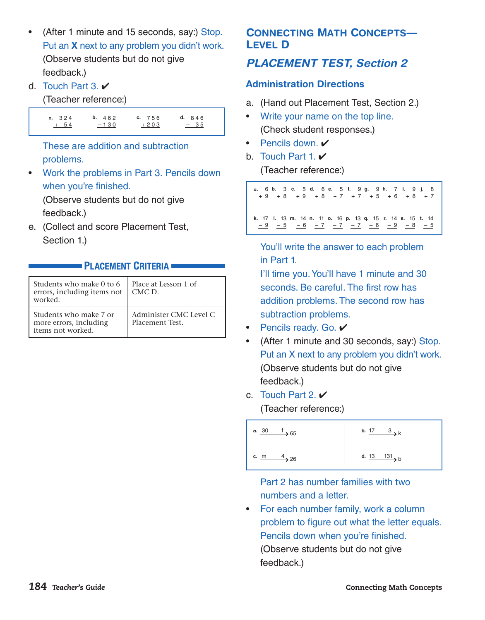- (After 1 minute and 15 seconds, say:) Stop. Put an **X** next to any problem you didn't work. (Observe students but do not give feedback.)
- d. Touch Part 3.  $\vee$

(Teacher reference:)



These are addition and subtraction problems.

• Work the problems in Part 3. Pencils down when you're finished.

 (Observe students but do not give feedback.)

e. (Collect and score Placement Test, Section 1.)

## **PLACEMENT CRITERIA**

| Students who make 0 to 6<br>errors, including items not<br>worked.    | Place at Lesson 1 of<br>CMC D.            |
|-----------------------------------------------------------------------|-------------------------------------------|
| Students who make 7 or<br>more errors, including<br>items not worked. | Administer CMC Level C<br>Placement Test. |

## CONNECTING MATH CONCEPTS— LEVEL D

## *PLACEMENT TEST, Section 2*

## Administration Directions

- a. (Hand out Placement Test, Section 2.)
- Write your name on the top line. (Check student responses.)
- Pencils down.  $\checkmark$
- b. Touch Part 1.  $\vee$

(Teacher reference:)



You'll write the answer to each problem in Part 1.

I'll time you. You'll have 1 minute and 30 seconds. Be careful. The first row has addition problems. The second row has subtraction problems.

- Pencils ready. Go.  $\checkmark$
- (After 1 minute and 30 seconds, say:) Stop. Put an X next to any problem you didn't work. (Observe students but do not give feedback.)
- c. Touch Part 2.  $\vee$ (Teacher reference:)



Part 2 has number families with two numbers and a letter.

• For each number family, work a column problem to figure out what the letter equals. Pencils down when you're finished. (Observe students but do not give feedback.)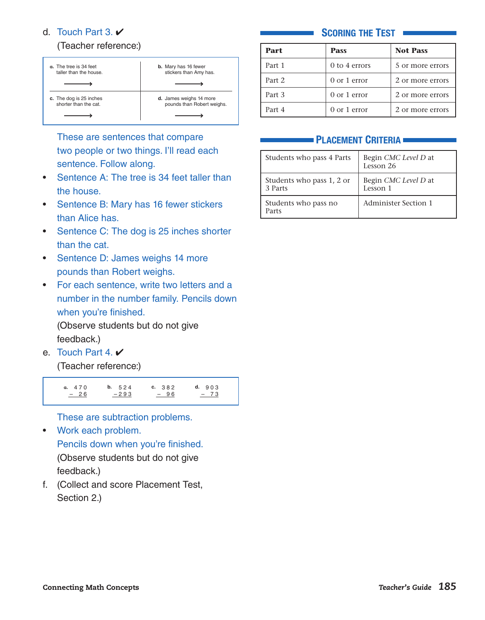#### d. Touch Part 3.  $\vee$

#### (Teacher reference:)



These are sentences that compare two people or two things. I'll read each sentence. Follow along.

- Sentence A: The tree is 34 feet taller than the house.
- Sentence B: Mary has 16 fewer stickers than Alice has.
- Sentence C: The dog is 25 inches shorter than the cat.
- Sentence D: James weighs 14 more pounds than Robert weighs.
- For each sentence, write two letters and a number in the number family. Pencils down when you're finished.

 (Observe students but do not give feedback.)

e. Touch Part 4.  $\vee$ 

(Teacher reference:)



These are subtraction problems.

• Work each problem.

Pencils down when you're finished. (Observe students but do not give feedback.)

f. (Collect and score Placement Test, Section 2.)

#### **SCORING THE TEST •**

| Part   | <b>Pass</b>     | <b>Not Pass</b>  |
|--------|-----------------|------------------|
| Part 1 | $0$ to 4 errors | 5 or more errors |
| Part 2 | 0 or 1 error    | 2 or more errors |
| Part 3 | 0 or 1 error    | 2 or more errors |
| Part 4 | $0$ or 1 error  | 2 or more errors |

#### PLACEMENT CRITERIA

| Students who pass 4 Parts            | Begin CMC Level D at<br>Lesson 26 |
|--------------------------------------|-----------------------------------|
| Students who pass 1, 2 or<br>3 Parts | Begin CMC Level D at<br>Lesson 1  |
| Students who pass no<br>Parts        | <b>Administer Section 1</b>       |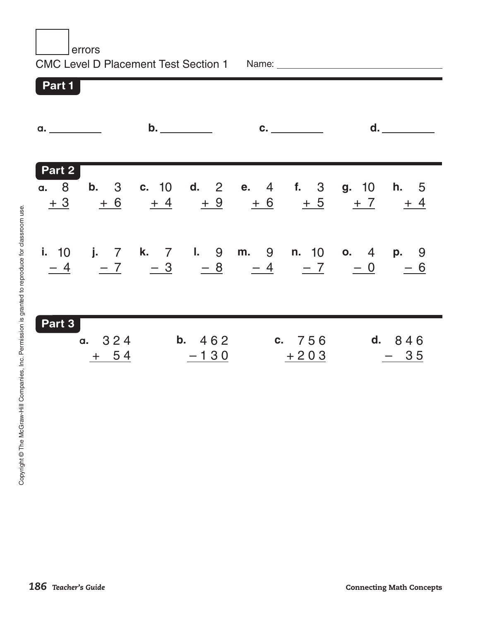errors CMC Level D Placement Test Section 1 Part 1 Part 2 Name: when the contract of the contract of the contract of the contract of the contract of the contract of the contract of the contract of the contract of the contract of the contract of the contract of the contract of the **a. \_\_\_\_\_\_\_\_\_\_ b. \_\_\_\_\_\_\_\_\_ c. \_\_\_\_\_\_\_\_ d. \_\_\_**\_\_\_\_\_\_ **a.** 8 + 3 **b.** 3  $+ 6$ **c.** 10  $+4$ **d.** 2  $+9$ **e.** 4 **f.** 3  $+ 6$  $+5$   $+7$   $+4$ **g.** 10 **h.** 5 **i.** 10 – 4 **j.** 7 **k.** 7 **l.** 9 **m.** 9 **n.** 10 **o.** 4 **p.** 9 <u>– 7 – 3</u> <u>– 8 – 4 – 7 – 0 – 6</u> Part 3 **a.** 3 2 4 + 5 4 **b.** 4 6 2  $-130$ **c.** 7 5 6  $+ 203$ **d.** 8 4 6 – 3 5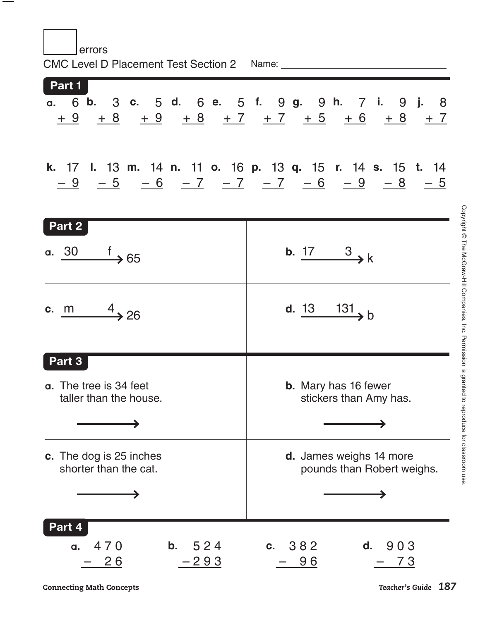| errors<br>CMC Level D Placement Test Section 2 Name: _______ |                                                                                                                                                                                |  |  |
|--------------------------------------------------------------|--------------------------------------------------------------------------------------------------------------------------------------------------------------------------------|--|--|
| Part 1                                                       | a. 6 b. 3 c. 5 d. 6 e. 5 f. 9 g. 9 h. 7 i. 9 j. 8<br>$\frac{+9}{+9}$ $\frac{+8}{+9}$ $\frac{+8}{+8}$ $\frac{+7}{+7}$ $\frac{+7}{+5}$ $\frac{+6}{+6}$ $\frac{+8}{+7}$           |  |  |
|                                                              | k. 17 l. 13 m. 14 n. 11 o. 16 p. 13 q. 15 r. 14 s. 15 t. 14<br>$\frac{-9}{-9}$ $\frac{-5}{-6}$ $\frac{-7}{-7}$ $\frac{-7}{-7}$ $\frac{-6}{-6}$ $\frac{-9}{-8}$ $\frac{-8}{-5}$ |  |  |
| Part 2<br>a. $\frac{30}{100}$ f 65                           | b. $\frac{17}{2}$ $\rightarrow k$                                                                                                                                              |  |  |
| c. m $4 \overline{\smash)26}$                                | d. $\frac{13}{13}$ 131, b                                                                                                                                                      |  |  |
| Part 3<br>a. The tree is 34 feet<br>taller than the house.   | b. Mary has 16 fewer<br>stickers than Amy has.                                                                                                                                 |  |  |
| c. The dog is 25 inches<br>shorter than the cat.             | <b>d.</b> James weighs 14 more<br>pounds than Robert weighs.                                                                                                                   |  |  |
| Part 4<br>470<br>b.<br>524<br><b>a.</b><br>$26$<br>$-293$    | c. 382<br>d.<br>903<br><u>96</u><br><u>73</u>                                                                                                                                  |  |  |